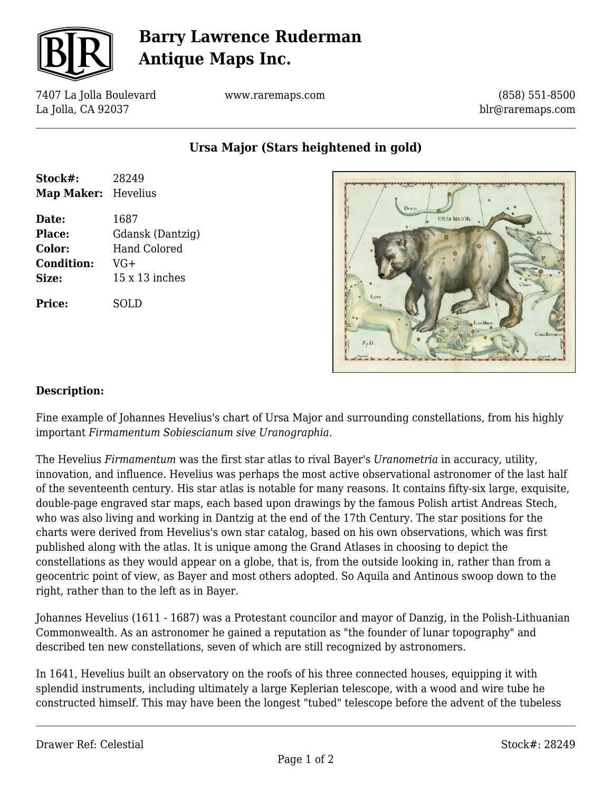

# **Barry Lawrence Ruderman Antique Maps Inc.**

7407 La Jolla Boulevard La Jolla, CA 92037

www.raremaps.com

(858) 551-8500 blr@raremaps.com

**Ursa Major (Stars heightened in gold)**

| Stock#:<br><b>Map Maker:</b> | 28249<br>Hevelius |
|------------------------------|-------------------|
| Date:                        | 1687              |
| Place:                       | Gdansk (Dantzig)  |
| Color:                       | Hand Colored      |
| <b>Condition:</b>            | $VG+$             |
| Size:                        | $15x13$ inches    |
| Price:                       | SOLD              |



### **Description:**

Fine example of Johannes Hevelius's chart of Ursa Major and surrounding constellations, from his highly important *Firmamentum Sobiescianum sive Uranographia*.

The Hevelius *Firmamentum* was the first star atlas to rival Bayer's *Uranometria* in accuracy, utility, innovation, and influence. Hevelius was perhaps the most active observational astronomer of the last half of the seventeenth century. His star atlas is notable for many reasons. It contains fifty-six large, exquisite, double-page engraved star maps, each based upon drawings by the famous Polish artist Andreas Stech, who was also living and working in Dantzig at the end of the 17th Century. The star positions for the charts were derived from Hevelius's own star catalog, based on his own observations, which was first published along with the atlas. It is unique among the Grand Atlases in choosing to depict the constellations as they would appear on a globe, that is, from the outside looking in, rather than from a geocentric point of view, as Bayer and most others adopted. So Aquila and Antinous swoop down to the right, rather than to the left as in Bayer.

Johannes Hevelius (1611 - 1687) was a Protestant councilor and mayor of Danzig, in the Polish-Lithuanian Commonwealth. As an astronomer he gained a reputation as "the founder of lunar topography" and described ten new constellations, seven of which are still recognized by astronomers.

In 1641, Hevelius built an observatory on the roofs of his three connected houses, equipping it with splendid instruments, including ultimately a large Keplerian telescope, with a wood and wire tube he constructed himself. This may have been the longest "tubed" telescope before the advent of the tubeless